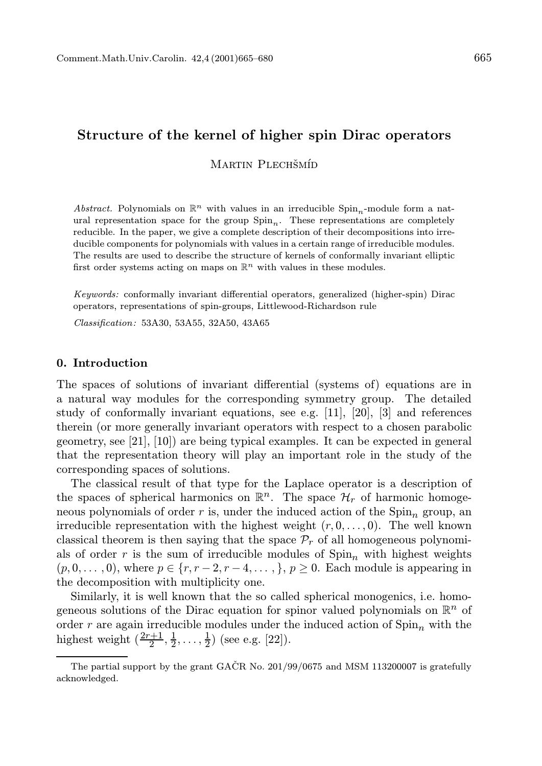# Structure of the kernel of higher spin Dirac operators

MARTIN PLECHŠMÍD

Abstract. Polynomials on  $\mathbb{R}^n$  with values in an irreducible Spin<sub>n</sub>-module form a natural representation space for the group  $Spin_n$ . These representations are completely reducible. In the paper, we give a complete description of their decompositions into irreducible components for polynomials with values in a certain range of irreducible modules. The results are used to describe the structure of kernels of conformally invariant elliptic first order systems acting on maps on  $\mathbb{R}^n$  with values in these modules.

Keywords: conformally invariant differential operators, generalized (higher-spin) Dirac operators, representations of spin-groups, Littlewood-Richardson rule

Classification: 53A30, 53A55, 32A50, 43A65

### 0. Introduction

The spaces of solutions of invariant differential (systems of) equations are in a natural way modules for the corresponding symmetry group. The detailed study of conformally invariant equations, see e.g. [11], [20], [3] and references therein (or more generally invariant operators with respect to a chosen parabolic geometry, see [21], [10]) are being typical examples. It can be expected in general that the representation theory will play an important role in the study of the corresponding spaces of solutions.

The classical result of that type for the Laplace operator is a description of the spaces of spherical harmonics on  $\mathbb{R}^n$ . The space  $\mathcal{H}_r$  of harmonic homogeneous polynomials of order r is, under the induced action of the  $Spin<sub>n</sub>$  group, an irreducible representation with the highest weight  $(r, 0, \ldots, 0)$ . The well known classical theorem is then saying that the space  $\mathcal{P}_r$  of all homogeneous polynomials of order r is the sum of irreducible modules of  $Spin<sub>n</sub>$  with highest weights  $(p, 0, \ldots, 0)$ , where  $p \in \{r, r-2, r-4, \ldots, \}$ ,  $p \ge 0$ . Each module is appearing in the decomposition with multiplicity one.

Similarly, it is well known that the so called spherical monogenics, i.e. homogeneous solutions of the Dirac equation for spinor valued polynomials on  $\mathbb{R}^n$  of order r are again irreducible modules under the induced action of  $\text{Spin}_n$  with the highest weight  $(\frac{2r+1}{2}, \frac{1}{2}, \dots, \frac{1}{2})$  (see e.g. [22]).

The partial support by the grant GAČR No.  $201/99/0675$  and MSM 113200007 is gratefully acknowledged.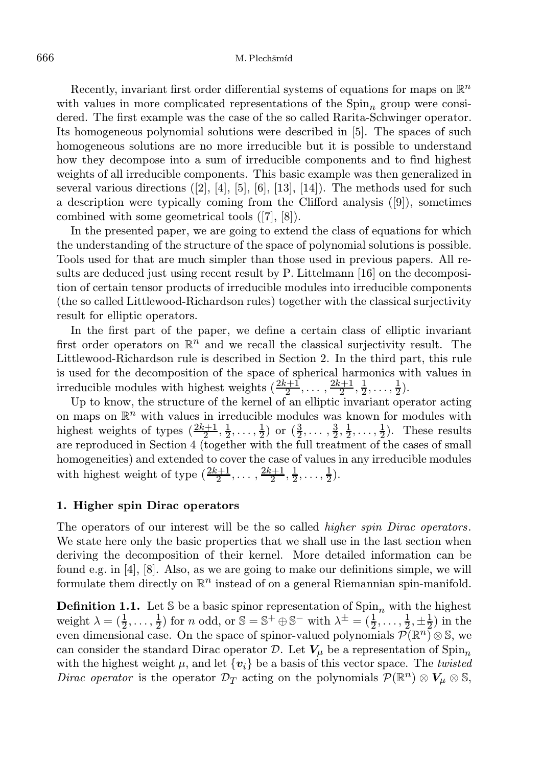### 666 M. Plechšmíd

Recently, invariant first order differential systems of equations for maps on  $\mathbb{R}^n$ with values in more complicated representations of the  $Spin<sub>n</sub>$  group were considered. The first example was the case of the so called Rarita-Schwinger operator. Its homogeneous polynomial solutions were described in [5]. The spaces of such homogeneous solutions are no more irreducible but it is possible to understand how they decompose into a sum of irreducible components and to find highest weights of all irreducible components. This basic example was then generalized in several various directions  $([2], [4], [5], [6], [13], [14])$ . The methods used for such a description were typically coming from the Clifford analysis ([9]), sometimes combined with some geometrical tools ([7], [8]).

In the presented paper, we are going to extend the class of equations for which the understanding of the structure of the space of polynomial solutions is possible. Tools used for that are much simpler than those used in previous papers. All results are deduced just using recent result by P. Littelmann [16] on the decomposition of certain tensor products of irreducible modules into irreducible components (the so called Littlewood-Richardson rules) together with the classical surjectivity result for elliptic operators.

In the first part of the paper, we define a certain class of elliptic invariant first order operators on  $\mathbb{R}^n$  and we recall the classical surjectivity result. The Littlewood-Richardson rule is described in Section 2. In the third part, this rule is used for the decomposition of the space of spherical harmonics with values in irreducible modules with highest weights  $(\frac{2k+1}{2}, \ldots, \frac{2k+1}{2}, \frac{1}{2}, \ldots, \frac{1}{2})$ .

Up to know, the structure of the kernel of an elliptic invariant operator acting on maps on  $\mathbb{R}^n$  with values in irreducible modules was known for modules with highest weights of types  $(\frac{2k+1}{2}, \frac{1}{2}, \dots, \frac{1}{2})$  or  $(\frac{3}{2}, \dots, \frac{3}{2}, \frac{1}{2}, \dots, \frac{1}{2})$ . These results are reproduced in Section 4 (together with the full treatment of the cases of small homogeneities) and extended to cover the case of values in any irreducible modules with highest weight of type  $(\frac{2k+1}{2}, \ldots, \frac{2k+1}{2}, \frac{1}{2}, \ldots, \frac{1}{2})$ .

#### 1. Higher spin Dirac operators

The operators of our interest will be the so called *higher spin Dirac operators*. We state here only the basic properties that we shall use in the last section when deriving the decomposition of their kernel. More detailed information can be found e.g. in [4], [8]. Also, as we are going to make our definitions simple, we will formulate them directly on  $\mathbb{R}^n$  instead of on a general Riemannian spin-manifold.

**Definition 1.1.** Let S be a basic spinor representation of  $\text{Spin}_n$  with the highest weight  $\lambda = (\frac{1}{2}, \ldots, \frac{1}{2})$  for *n* odd, or  $\mathbb{S} = \mathbb{S}^+ \oplus \mathbb{S}^-$  with  $\lambda^{\pm} = (\frac{1}{2}, \ldots, \frac{1}{2}, \pm \frac{1}{2})$  in the even dimensional case. On the space of spinor-valued polynomials  $\mathcal{P}(\mathbb{R}^n) \otimes \mathbb{S}$ , we can consider the standard Dirac operator D. Let  $V_{\mu}$  be a representation of Spin<sub>n</sub> with the highest weight  $\mu$ , and let  $\{v_i\}$  be a basis of this vector space. The twisted Dirac operator is the operator  $\mathcal{D}_T$  acting on the polynomials  $\mathcal{P}(\mathbb{R}^n) \otimes V_\mu \otimes \mathbb{S}$ ,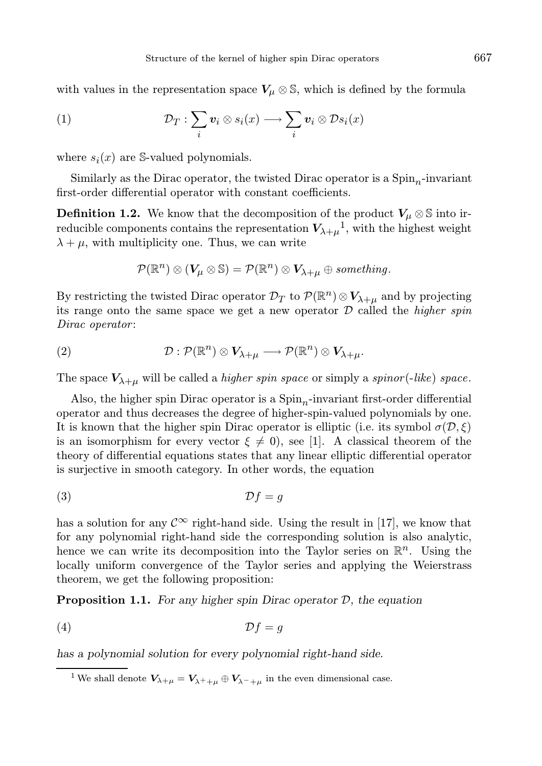with values in the representation space  $V_\mu \otimes \mathbb{S}$ , which is defined by the formula

(1) 
$$
\mathcal{D}_T: \sum_i \mathbf{v}_i \otimes s_i(x) \longrightarrow \sum_i \mathbf{v}_i \otimes \mathcal{D}s_i(x)
$$

where  $s_i(x)$  are S-valued polynomials.

Similarly as the Dirac operator, the twisted Dirac operator is a  $Spin<sub>n</sub>$ -invariant first-order differential operator with constant coefficients.

**Definition 1.2.** We know that the decomposition of the product  $V_\mu \otimes \mathbb{S}$  into irreducible components contains the representation  $V_{\lambda+\mu}^{-1}$ , with the highest weight  $\lambda + \mu$ , with multiplicity one. Thus, we can write

$$
\mathcal{P}(\mathbb{R}^n) \otimes (V_{\mu} \otimes \mathbb{S}) = \mathcal{P}(\mathbb{R}^n) \otimes V_{\lambda+\mu} \oplus \text{something}.
$$

By restricting the twisted Dirac operator  $\mathcal{D}_T$  to  $\mathcal{P}(\mathbb{R}^n) \otimes V_{\lambda+\mu}$  and by projecting its range onto the same space we get a new operator  $D$  called the *higher spin* Dirac operator:

(2) 
$$
\mathcal{D}: \mathcal{P}(\mathbb{R}^n) \otimes V_{\lambda+\mu} \longrightarrow \mathcal{P}(\mathbb{R}^n) \otimes V_{\lambda+\mu}.
$$

The space  $V_{\lambda+\mu}$  will be called a *higher spin space* or simply a *spinor* (-like) space.

Also, the higher spin Dirac operator is a  $Spin<sub>n</sub>$ -invariant first-order differential operator and thus decreases the degree of higher-spin-valued polynomials by one. It is known that the higher spin Dirac operator is elliptic (i.e. its symbol  $\sigma(\mathcal{D}, \xi)$ ) is an isomorphism for every vector  $\xi \neq 0$ , see [1]. A classical theorem of the theory of differential equations states that any linear elliptic differential operator is surjective in smooth category. In other words, the equation

(3) Df = g

has a solution for any  $\mathcal{C}^{\infty}$  right-hand side. Using the result in [17], we know that for any polynomial right-hand side the corresponding solution is also analytic, hence we can write its decomposition into the Taylor series on  $\mathbb{R}^n$ . Using the locally uniform convergence of the Taylor series and applying the Weierstrass theorem, we get the following proposition:

**Proposition 1.1.** For any higher spin Dirac operator  $D$ , the equation

$$
(4) \t\t\t \mathcal{D}f = g
$$

has a polynomial solution for every polynomial right-hand side.

<sup>1</sup>We shall denote  $V_{\lambda+\mu} = V_{\lambda^++\mu} \oplus V_{\lambda^-+\mu}$  in the even dimensional case.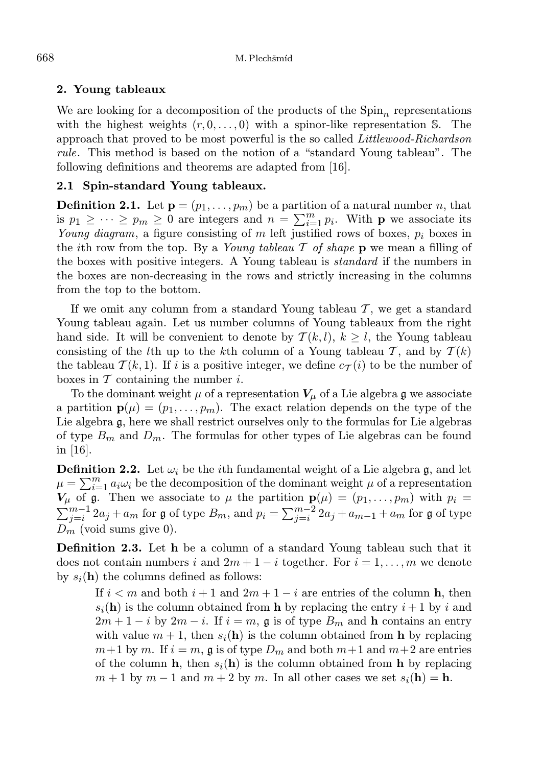### 2. Young tableaux

We are looking for a decomposition of the products of the  $Spin<sub>n</sub>$  representations with the highest weights  $(r, 0, \ldots, 0)$  with a spinor-like representation S. The approach that proved to be most powerful is the so called Littlewood-Richardson rule. This method is based on the notion of a "standard Young tableau". The following definitions and theorems are adapted from [16].

## 2.1 Spin-standard Young tableaux.

**Definition 2.1.** Let  $\mathbf{p} = (p_1, \ldots, p_m)$  be a partition of a natural number n, that is  $p_1 \geq \cdots \geq p_m \geq 0$  are integers and  $n = \sum_{i=1}^m p_i$ . With **p** we associate its Young diagram, a figure consisting of m left justified rows of boxes,  $p_i$  boxes in the *i*th row from the top. By a Young tableau  $\mathcal T$  of shape  $p$  we mean a filling of the boxes with positive integers. A Young tableau is *standard* if the numbers in the boxes are non-decreasing in the rows and strictly increasing in the columns from the top to the bottom.

If we omit any column from a standard Young tableau  $\mathcal{T}$ , we get a standard Young tableau again. Let us number columns of Young tableaux from the right hand side. It will be convenient to denote by  $T(k, l)$ ,  $k \geq l$ , the Young tableau consisting of the lth up to the kth column of a Young tableau T, and by  $T(k)$ the tableau  $\mathcal{T}(k,1)$ . If i is a positive integer, we define  $c_{\mathcal{T}}(i)$  to be the number of boxes in  $\mathcal T$  containing the number i.

To the dominant weight  $\mu$  of a representation  $V_{\mu}$  of a Lie algebra g we associate a partition  $\mathbf{p}(\mu) = (p_1, \ldots, p_m)$ . The exact relation depends on the type of the Lie algebra g, here we shall restrict ourselves only to the formulas for Lie algebras of type  $B_m$  and  $D_m$ . The formulas for other types of Lie algebras can be found in  $|16|$ .

**Definition 2.2.** Let  $\omega_i$  be the *i*th fundamental weight of a Lie algebra g, and let  $\mu = \sum_{i=1}^{m} a_i \omega_i$  be the decomposition of the dominant weight  $\mu$  of a representation  $V_{\mu}$  of g. Then we associate to  $\mu$  the partition  $\mathbf{p}(\mu) = (p_1, \ldots, p_m)$  with  $p_i =$  $\sum_{j=i}^{m-1} 2a_j + a_m$  for g of type  $B_m$ , and  $p_i = \sum_{j=i}^{m-2} 2a_j + a_{m-1} + a_m$  for g of type  $D_m$  (void sums give 0).

Definition 2.3. Let h be a column of a standard Young tableau such that it does not contain numbers i and  $2m + 1 - i$  together. For  $i = 1, \ldots, m$  we denote by  $s_i(\mathbf{h})$  the columns defined as follows:

If  $i < m$  and both  $i + 1$  and  $2m + 1 - i$  are entries of the column h, then  $s_i(\mathbf{h})$  is the column obtained from **h** by replacing the entry  $i+1$  by i and  $2m + 1 - i$  by  $2m - i$ . If  $i = m$ , g is of type  $B_m$  and h contains an entry with value  $m + 1$ , then  $s_i(h)$  is the column obtained from h by replacing  $m+1$  by m. If  $i = m$ , g is of type  $D_m$  and both  $m+1$  and  $m+2$  are entries of the column **h**, then  $s_i(\mathbf{h})$  is the column obtained from **h** by replacing  $m+1$  by  $m-1$  and  $m+2$  by m. In all other cases we set  $s_i(\mathbf{h}) = \mathbf{h}$ .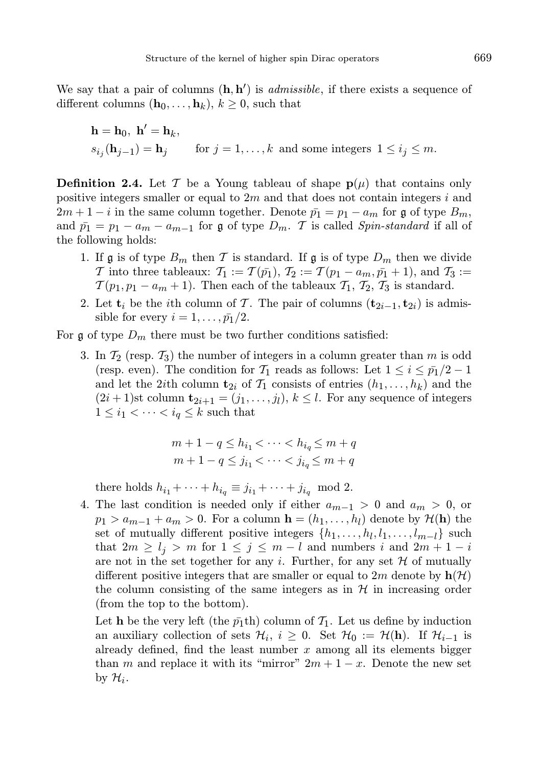We say that a pair of columns  $(h, h')$  is *admissible*, if there exists a sequence of different columns  $(\mathbf{h}_0, \ldots, \mathbf{h}_k)$ ,  $k \geq 0$ , such that

$$
\mathbf{h} = \mathbf{h}_0, \ \mathbf{h}' = \mathbf{h}_k,
$$
  
\n
$$
s_{i_j}(\mathbf{h}_{j-1}) = \mathbf{h}_j \qquad \text{for } j = 1, \dots, k \text{ and some integers } 1 \le i_j \le m.
$$

**Definition 2.4.** Let T be a Young tableau of shape  $p(\mu)$  that contains only positive integers smaller or equal to  $2m$  and that does not contain integers i and  $2m + 1 - i$  in the same column together. Denote  $\bar{p}_1 = p_1 - a_m$  for g of type  $B_m$ , and  $\bar{p}_1 = p_1 - a_m - a_{m-1}$  for g of type  $D_m$ . T is called *Spin-standard* if all of the following holds:

- 1. If g is of type  $B_m$  then T is standard. If g is of type  $D_m$  then we divide T into three tableaux:  $\mathcal{T}_1 := \mathcal{T}(\bar{p_1}), \mathcal{T}_2 := \mathcal{T}(p_1 - a_m, \bar{p_1} + 1),$  and  $\mathcal{T}_3 :=$  $\mathcal{T}(p_1, p_1 - a_m + 1)$ . Then each of the tableaux  $\mathcal{T}_1$ ,  $\mathcal{T}_2$ ,  $\mathcal{T}_3$  is standard.
- 2. Let  $\mathbf{t}_i$  be the *i*th column of T. The pair of columns  $(\mathbf{t}_{2i-1}, \mathbf{t}_{2i})$  is admissible for every  $i = 1, \ldots, \bar{p_1}/2$ .

For  $\mathfrak g$  of type  $D_m$  there must be two further conditions satisfied:

3. In  $\mathcal{T}_2$  (resp.  $\mathcal{T}_3$ ) the number of integers in a column greater than m is odd (resp. even). The condition for  $\mathcal{T}_1$  reads as follows: Let  $1 \leq i \leq \bar{p}_1/2 - 1$ and let the 2ith column  $\mathbf{t}_{2i}$  of  $\mathcal{T}_1$  consists of entries  $(h_1, \ldots, h_k)$  and the  $(2i+1)$ st column  $\mathbf{t}_{2i+1} = (j_1, \ldots, j_l)$ ,  $k \leq l$ . For any sequence of integers  $1 \leq i_1 < \cdots < i_q \leq k$  such that

$$
m+1-q \le h_{i_1} < \dots < h_{i_q} \le m+q
$$
  

$$
m+1-q \le j_{i_1} < \dots < j_{i_q} \le m+q
$$

there holds  $h_{i_1} + \cdots + h_{i_q} \equiv j_{i_1} + \cdots + j_{i_q} \mod 2$ .

4. The last condition is needed only if either  $a_{m-1} > 0$  and  $a_m > 0$ , or  $p_1 > a_{m-1} + a_m > 0$ . For a column  $\mathbf{h} = (h_1, \ldots, h_l)$  denote by  $\mathcal{H}(\mathbf{h})$  the set of mutually different positive integers  $\{h_1, \ldots, h_l, l_1, \ldots, l_{m-l}\}\$  such that  $2m \geq l_j > m$  for  $1 \leq j \leq m - l$  and numbers i and  $2m + 1 - i$ are not in the set together for any i. Further, for any set  $H$  of mutually different positive integers that are smaller or equal to  $2m$  denote by  $h(\mathcal{H})$ the column consisting of the same integers as in  $H$  in increasing order (from the top to the bottom).

Let **h** be the very left (the  $\bar{p}_1$ th) column of  $\mathcal{T}_1$ . Let us define by induction an auxiliary collection of sets  $\mathcal{H}_i$ ,  $i \geq 0$ . Set  $\mathcal{H}_0 := \mathcal{H}(\mathbf{h})$ . If  $\mathcal{H}_{i-1}$  is already defined, find the least number  $x$  among all its elements bigger than m and replace it with its "mirror"  $2m + 1 - x$ . Denote the new set by  $\mathcal{H}_i$ .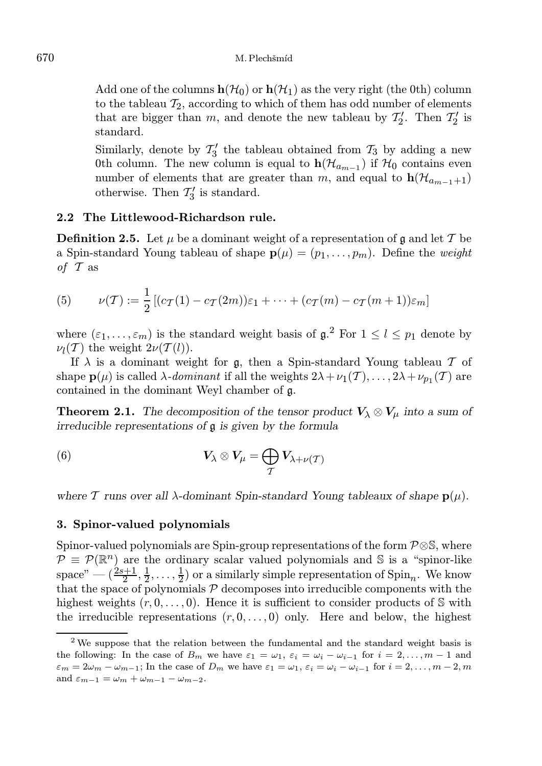Add one of the columns  $h(\mathcal{H}_0)$  or  $h(\mathcal{H}_1)$  as the very right (the 0th) column to the tableau  $T_2$ , according to which of them has odd number of elements that are bigger than  $m$ , and denote the new tableau by  $\mathcal{T}'_2$ . Then  $\mathcal{T}'_2$  is standard.

Similarly, denote by  $\mathcal{T}'_3$  the tableau obtained from  $\mathcal{T}_3$  by adding a new 0th column. The new column is equal to  $h(\mathcal{H}_{a_{m-1}})$  if  $\mathcal{H}_0$  contains even number of elements that are greater than m, and equal to  $h(\mathcal{H}_{a_{m-1}+1})$ otherwise. Then  $\mathcal{T}'_3$  is standard.

### 2.2 The Littlewood-Richardson rule.

**Definition 2.5.** Let  $\mu$  be a dominant weight of a representation of g and let T be a Spin-standard Young tableau of shape  $p(\mu) = (p_1, \ldots, p_m)$ . Define the *weight* of  $\mathcal T$  as

(5) 
$$
\nu(\mathcal{T}) := \frac{1}{2} [(c_{\mathcal{T}}(1) - c_{\mathcal{T}}(2m))\varepsilon_1 + \cdots + (c_{\mathcal{T}}(m) - c_{\mathcal{T}}(m+1))\varepsilon_m]
$$

where  $(\varepsilon_1, \ldots, \varepsilon_m)$  is the standard weight basis of  $\mathfrak{g}$ .<sup>2</sup> For  $1 \leq l \leq p_1$  denote by  $\nu_l(\mathcal{T})$  the weight  $2\nu(\mathcal{T}(l)).$ 

If  $\lambda$  is a dominant weight for g, then a Spin-standard Young tableau T of shape  $\mathbf{p}(\mu)$  is called  $\lambda$ -dominant if all the weights  $2\lambda + \nu_1(\mathcal{T}), \ldots, 2\lambda + \nu_{p_1}(\mathcal{T})$  are contained in the dominant Weyl chamber of g.

**Theorem 2.1.** The decomposition of the tensor product  $V_{\lambda} \otimes V_{\mu}$  into a sum of irreducible representations of g is given by the formula

(6) 
$$
V_{\lambda} \otimes V_{\mu} = \bigoplus_{\mathcal{T}} V_{\lambda + \nu(\mathcal{T})}
$$

where T runs over all  $\lambda$ -dominant Spin-standard Young tableaux of shape  $p(\mu)$ .

#### 3. Spinor-valued polynomials

Spinor-valued polynomials are Spin-group representations of the form  $\mathcal{P} \otimes \mathbb{S}$ , where  $\mathcal{P} \equiv \mathcal{P}(\mathbb{R}^n)$  are the ordinary scalar valued polynomials and S is a "spinor-like" space"  $-(\frac{2s+1}{2}, \frac{1}{2}, \ldots, \frac{1}{2})$  or a similarly simple representation of  $\text{Spin}_n$ . We know that the space of polynomials  $P$  decomposes into irreducible components with the highest weights  $(r, 0, \ldots, 0)$ . Hence it is sufficient to consider products of S with the irreducible representations  $(r, 0, \ldots, 0)$  only. Here and below, the highest

<sup>&</sup>lt;sup>2</sup> We suppose that the relation between the fundamental and the standard weight basis is the following: In the case of  $B_m$  we have  $\varepsilon_1 = \omega_1, \varepsilon_i = \omega_i - \omega_{i-1}$  for  $i = 2, \ldots, m-1$  and  $\varepsilon_m = 2\omega_m - \omega_{m-1}$ ; In the case of  $D_m$  we have  $\varepsilon_1 = \omega_1, \, \varepsilon_i = \omega_i - \omega_{i-1}$  for  $i = 2, \ldots, m-2, m$ and  $\varepsilon_{m-1} = \omega_m + \omega_{m-1} - \omega_{m-2}$ .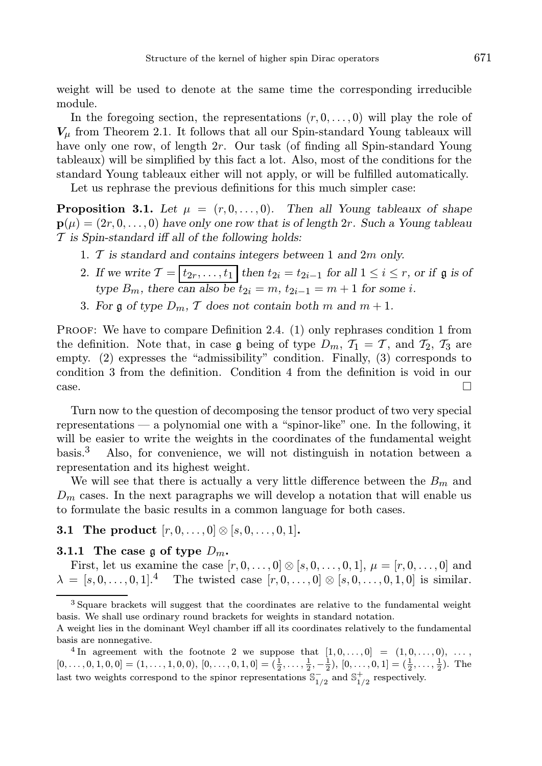weight will be used to denote at the same time the corresponding irreducible module.

In the foregoing section, the representations  $(r, 0, \ldots, 0)$  will play the role of  $V_{\mu}$  from Theorem 2.1. It follows that all our Spin-standard Young tableaux will have only one row, of length 2r. Our task (of finding all Spin-standard Young tableaux) will be simplified by this fact a lot. Also, most of the conditions for the standard Young tableaux either will not apply, or will be fulfilled automatically.

Let us rephrase the previous definitions for this much simpler case:

**Proposition 3.1.** Let  $\mu = (r, 0, \ldots, 0)$ . Then all Young tableaux of shape  $\mathbf{p}(\mu) = (2r, 0, \dots, 0)$  have only one row that is of length  $2r$ . Such a Young tableau  $\mathcal T$  is Spin-standard iff all of the following holds:

- 1.  $\mathcal T$  is standard and contains integers between 1 and 2m only.
- 2. If we write  $\mathcal{T} = \begin{bmatrix} t_{2r}, \ldots, t_1 \end{bmatrix}$  then  $t_{2i} = t_{2i-1}$  for all  $1 \leq i \leq r$ , or if  $\mathfrak{g}$  is of type  $B_m$ , there can also be  $t_{2i} = m$ ,  $t_{2i-1} = m+1$  for some i.
- 3. For g of type  $D_m$ , T does not contain both m and  $m + 1$ .

PROOF: We have to compare Definition 2.4. (1) only rephrases condition 1 from the definition. Note that, in case g being of type  $D_m$ ,  $\mathcal{T}_1 = \mathcal{T}$ , and  $\mathcal{T}_2$ ,  $\mathcal{T}_3$  are empty. (2) expresses the "admissibility" condition. Finally, (3) corresponds to condition 3 from the definition. Condition 4 from the definition is void in our  $\Box$ 

Turn now to the question of decomposing the tensor product of two very special representations — a polynomial one with a "spinor-like" one. In the following, it will be easier to write the weights in the coordinates of the fundamental weight basis.<sup>3</sup> Also, for convenience, we will not distinguish in notation between a representation and its highest weight.

We will see that there is actually a very little difference between the  $B_m$  and  $D_m$  cases. In the next paragraphs we will develop a notation that will enable us to formulate the basic results in a common language for both cases.

**3.1 The product**  $[r, 0, \ldots, 0] \otimes [s, 0, \ldots, 0, 1].$ 

### 3.1.1 The case g of type  $D_m$ .

First, let us examine the case  $[r, 0, ..., 0] \otimes [s, 0, ..., 0, 1], \mu = [r, 0, ..., 0]$  and  $\lambda = [s, 0, \ldots, 0, 1]$ .<sup>4</sup> The twisted case  $[r, 0, \ldots, 0] \otimes [s, 0, \ldots, 0, 1, 0]$  is similar.

 $3$  Square brackets will suggest that the coordinates are relative to the fundamental weight basis. We shall use ordinary round brackets for weights in standard notation.

A weight lies in the dominant Weyl chamber iff all its coordinates relatively to the fundamental basis are nonnegative.

<sup>&</sup>lt;sup>4</sup> In agreement with the footnote 2 we suppose that  $[1,0,\ldots,0] = (1,0,\ldots,0), \ldots$  $[0, \ldots, 0, 1, 0, 0] = (1, \ldots, 1, 0, 0), [0, \ldots, 0, 1, 0] = (\frac{1}{2}, \ldots, \frac{1}{2}, -\frac{1}{2}), [0, \ldots, 0, 1] = (\frac{1}{2}, \ldots, \frac{1}{2}).$  The last two weights correspond to the spinor representations  $\mathbb{S}^{-}_{1/2}$  and  $\mathbb{S}^{+}_{1/2}$  respectively.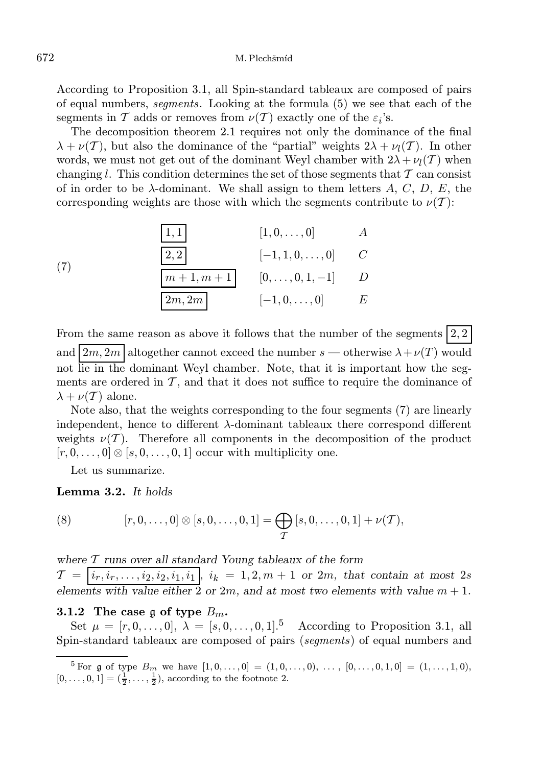According to Proposition 3.1, all Spin-standard tableaux are composed of pairs of equal numbers, segments. Looking at the formula (5) we see that each of the segments in T adds or removes from  $\nu(T)$  exactly one of the  $\varepsilon_i$ 's.

The decomposition theorem 2.1 requires not only the dominance of the final  $\lambda + \nu(\mathcal{T})$ , but also the dominance of the "partial" weights  $2\lambda + \nu_{l}(\mathcal{T})$ . In other words, we must not get out of the dominant Weyl chamber with  $2\lambda + \nu_l(T)$  when changing l. This condition determines the set of those segments that  $\mathcal T$  can consist of in order to be  $\lambda$ -dominant. We shall assign to them letters A, C, D, E, the corresponding weights are those with which the segments contribute to  $\nu(T)$ :

(7) 
$$
\begin{array}{c|cc}\n1,1 & [1,0,\ldots,0] & A \\
\hline\n2,2 & [-1,1,0,\ldots,0] & C \\
\hline\nm+1,m+1 & [0,\ldots,0,1,-1] & D \\
\hline\n2m,2m & [-1,0,\ldots,0] & E\n\end{array}
$$

From the same reason as above it follows that the number of the segments  $(2, 2)$ and  $2m, 2m$  altogether cannot exceed the number s — otherwise  $\lambda + \nu(T)$  would not lie in the dominant Weyl chamber. Note, that it is important how the segments are ordered in  $\mathcal{T}$ , and that it does not suffice to require the dominance of  $\lambda + \nu(\mathcal{T})$  alone.

Note also, that the weights corresponding to the four segments (7) are linearly independent, hence to different  $\lambda$ -dominant tableaux there correspond different weights  $\nu(T)$ . Therefore all components in the decomposition of the product  $[r, 0, \ldots, 0] \otimes [s, 0, \ldots, 0, 1]$  occur with multiplicity one.

Let us summarize.

Lemma 3.2. It holds

(8) 
$$
[r, 0, \ldots, 0] \otimes [s, 0, \ldots, 0, 1] = \bigoplus_{\mathcal{T}} [s, 0, \ldots, 0, 1] + \nu(\mathcal{T}),
$$

where  $T$  runs over all standard Young tableaux of the form

 $\mathcal{T} = \{i_r, i_r, \ldots, i_2, i_2, i_1, i_1\}$ ,  $i_k = 1, 2, m + 1$  or 2m, that contain at most 2s elements with value either 2 or 2m, and at most two elements with value  $m + 1$ .

#### 3.1.2 The case g of type  $B_m$ .

Set  $\mu = [r, 0, \ldots, 0], \lambda = [s, 0, \ldots, 0, 1].^5$  According to Proposition 3.1, all Spin-standard tableaux are composed of pairs (segments) of equal numbers and

<sup>&</sup>lt;sup>5</sup> For g of type  $B_m$  we have  $[1, 0, \ldots, 0] = (1, 0, \ldots, 0), \ldots, [0, \ldots, 0, 1, 0] = (1, \ldots, 1, 0),$  $[0, ..., 0, 1] = (\frac{1}{2}, ..., \frac{1}{2})$ , according to the footnote 2.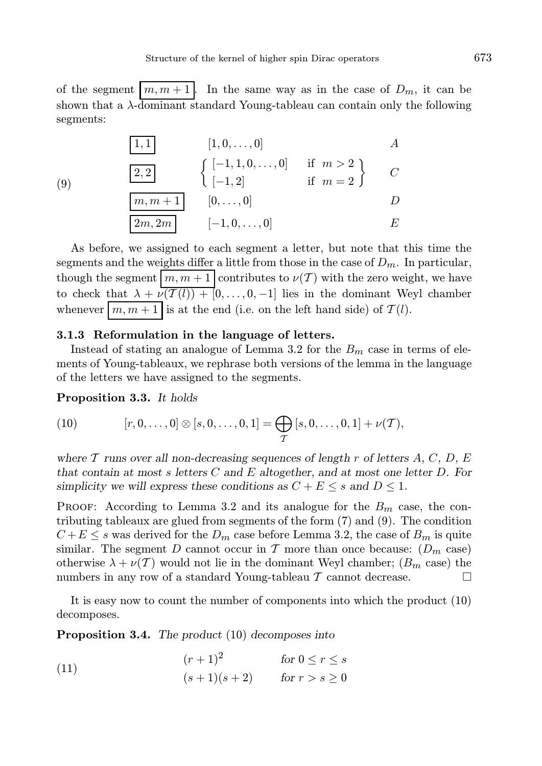of the segment  $\lfloor m, m+1 \rfloor$ . In the same way as in the case of  $D_m$ , it can be shown that a  $\lambda$ -dominant standard Young-tableau can contain only the following segments:

(9)  
\n
$$
\begin{array}{c|cc}\n\boxed{1,1} & [1,0,\ldots,0] & A \\
\hline\n2,2 & \left\{ \begin{array}{ll} [-1,1,0,\ldots,0] & \text{if } m > 2 \\
[-1,2] & \text{if } m = 2 \end{array} \right\} & C \\
\hline\n\boxed{2m,2m} & [-1,0,\ldots,0] & D \\
E\n\end{array}
$$

As before, we assigned to each segment a letter, but note that this time the segments and the weights differ a little from those in the case of  $D_m$ . In particular, though the segment  $\overline{\Big|m, m+1\Big|}$  contributes to  $\nu(T)$  with the zero weight, we have to check that  $\lambda + \nu(\mathcal{T}(l)) + [0, \ldots, 0, -1]$  lies in the dominant Weyl chamber whenever  $\boxed{m, m+1}$  is at the end (i.e. on the left hand side) of  $\mathcal{T}(l)$ .

### 3.1.3 Reformulation in the language of letters.

Instead of stating an analogue of Lemma 3.2 for the  $B<sub>m</sub>$  case in terms of elements of Young-tableaux, we rephrase both versions of the lemma in the language of the letters we have assigned to the segments.

Proposition 3.3. It holds

(10) 
$$
[r, 0, \ldots, 0] \otimes [s, 0, \ldots, 0, 1] = \bigoplus_{\mathcal{T}} [s, 0, \ldots, 0, 1] + \nu(\mathcal{T}),
$$

where T runs over all non-decreasing sequences of length r of letters A, C, D, E that contain at most s letters  $C$  and  $E$  altogether, and at most one letter  $D$ . For simplicity we will express these conditions as  $C + E \leq s$  and  $D \leq 1$ .

PROOF: According to Lemma 3.2 and its analogue for the  $B_m$  case, the contributing tableaux are glued from segments of the form (7) and (9). The condition  $C + E \leq s$  was derived for the  $D_m$  case before Lemma 3.2, the case of  $B_m$  is quite similar. The segment D cannot occur in T more than once because:  $(D_m \csc)$ otherwise  $\lambda + \nu(\mathcal{T})$  would not lie in the dominant Weyl chamber;  $(B_m \text{ case})$  the numbers in any row of a standard Young-tableau  $\mathcal T$  cannot decrease.

It is easy now to count the number of components into which the product (10) decomposes.

Proposition 3.4. The product (10) decomposes into

(11) 
$$
(r+1)^2 \quad \text{for } 0 \le r \le s
$$

$$
(s+1)(s+2) \quad \text{for } r > s \ge 0
$$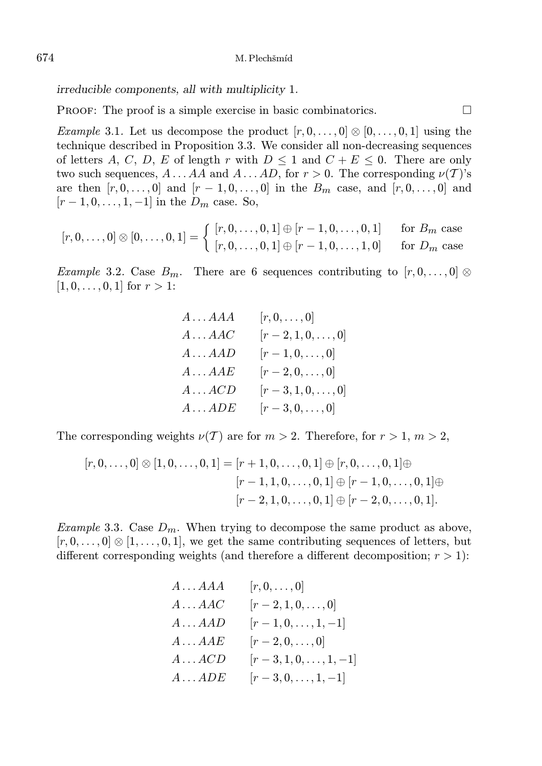irreducible components, all with multiplicity 1.

**PROOF:** The proof is a simple exercise in basic combinatorics.  $\Box$ 

*Example* 3.1. Let us decompose the product  $[r, 0, \ldots, 0] \otimes [0, \ldots, 0, 1]$  using the technique described in Proposition 3.3. We consider all non-decreasing sequences of letters A, C, D, E of length r with  $D \leq 1$  and  $C + E \leq 0$ . There are only two such sequences,  $A \dots AA$  and  $A \dots AD$ , for  $r > 0$ . The corresponding  $\nu(T)$ 's are then  $[r, 0, \ldots, 0]$  and  $[r - 1, 0, \ldots, 0]$  in the  $B_m$  case, and  $[r, 0, \ldots, 0]$  and  $[r-1, 0, \ldots, 1, -1]$  in the  $D_m$  case. So,

$$
[r, 0, \ldots, 0] \otimes [0, \ldots, 0, 1] = \begin{cases} [r, 0, \ldots, 0, 1] \oplus [r - 1, 0, \ldots, 0, 1] & \text{for } B_m \text{ case} \\ [r, 0, \ldots, 0, 1] \oplus [r - 1, 0, \ldots, 1, 0] & \text{for } D_m \text{ case} \end{cases}
$$

Example 3.2. Case  $B_m$ . There are 6 sequences contributing to  $[r, 0, \ldots, 0]$   $\otimes$  $[1, 0, \ldots, 0, 1]$  for  $r > 1$ :

> $A \dots AAA$   $[r, 0, \dots, 0]$  $A \dots AAC$  [r − 2, 1, 0, ..., 0]  $A \dots AAD$   $[r - 1, 0, \dots, 0]$  $A \dots AAE = [r - 2, 0, \dots, 0]$  $A \dots ACD$  [r - 3, 1, 0, ..., 0]  $A \dots ADE$   $[r - 3, 0, \dots, 0]$

The corresponding weights  $\nu(\mathcal{T})$  are for  $m > 2$ . Therefore, for  $r > 1, m > 2$ ,

$$
[r, 0, \ldots, 0] \otimes [1, 0, \ldots, 0, 1] = [r + 1, 0, \ldots, 0, 1] \oplus [r, 0, \ldots, 0, 1] \oplus
$$

$$
[r - 1, 1, 0, \ldots, 0, 1] \oplus [r - 1, 0, \ldots, 0, 1] \oplus
$$

$$
[r - 2, 1, 0, \ldots, 0, 1] \oplus [r - 2, 0, \ldots, 0, 1].
$$

*Example* 3.3. Case  $D_m$ . When trying to decompose the same product as above,  $[r, 0, \ldots, 0] \otimes [1, \ldots, 0, 1]$ , we get the same contributing sequences of letters, but different corresponding weights (and therefore a different decomposition;  $r > 1$ ):

| $A \ldots AAA$ | $[r,0,\ldots,0]$        |
|----------------|-------------------------|
| $A \ldots AAC$ | $[r-2,1,0,\ldots,0]$    |
| $A \ldots AAD$ | $[r-1,0,\ldots,1,-1]$   |
| $A \ldots AAE$ | $[r-2,0,\ldots,0]$      |
| $A \dots ACD$  | $[r-3,1,0,\ldots,1,-1]$ |
| $A \dots ADE$  | $[r-3,0,\ldots,1,-1]$   |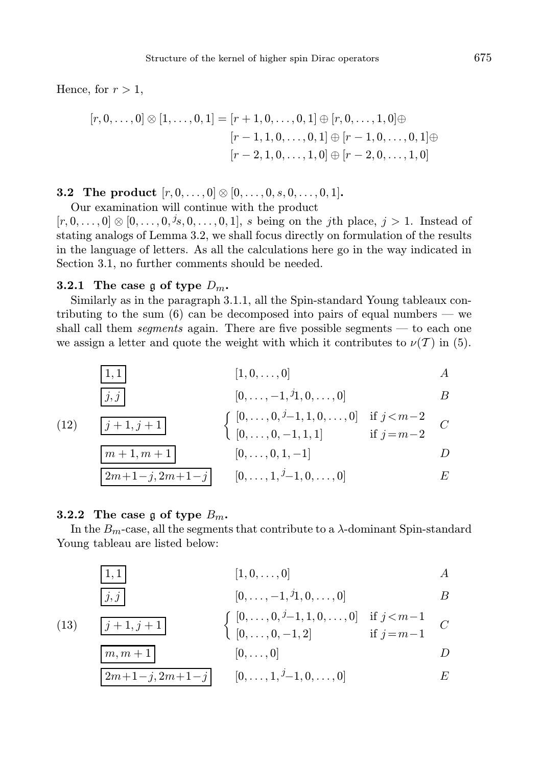Hence, for  $r > 1$ ,

$$
[r, 0, \ldots, 0] \otimes [1, \ldots, 0, 1] = [r + 1, 0, \ldots, 0, 1] \oplus [r, 0, \ldots, 1, 0] \oplus
$$

$$
[r - 1, 1, 0, \ldots, 0, 1] \oplus [r - 1, 0, \ldots, 0, 1] \oplus
$$

$$
[r - 2, 1, 0, \ldots, 1, 0] \oplus [r - 2, 0, \ldots, 1, 0]
$$

**3.2** The product  $[r, 0, \ldots, 0] \otimes [0, \ldots, 0, s, 0, \ldots, 0, 1].$ 

Our examination will continue with the product

 $[r, 0, \ldots, 0] \otimes [0, \ldots, 0, \dot{1}, 0, \ldots, 0, 1],$  s being on the jth place,  $j > 1$ . Instead of stating analogs of Lemma 3.2, we shall focus directly on formulation of the results in the language of letters. As all the calculations here go in the way indicated in Section 3.1, no further comments should be needed.

### 3.2.1 The case g of type  $D_m$ .

Similarly as in the paragraph 3.1.1, all the Spin-standard Young tableaux contributing to the sum  $(6)$  can be decomposed into pairs of equal numbers — we shall call them segments again. There are five possible segments — to each one we assign a letter and quote the weight with which it contributes to  $\nu(T)$  in (5).

(12) 
$$
\begin{array}{c|c}\n\boxed{1,1} & [1,0,\ldots,0] & A \\
\boxed{j,j} & [0,\ldots,-1,{}^{j}1,0,\ldots,0] & B \\
\hline\n(12) & \boxed{j+1,j+1} & \left\{ \begin{array}{c} [0,\ldots,0,{}^{j}-1,1,0,\ldots,0] & \text{if } j < m-2 \\ \left[0,\ldots,0,-1,1,1\right] & \text{if } j = m-2 \end{array} \right. C \\
\boxed{m+1,m+1} & [0,\ldots,0,1,-1] & D \\
\boxed{2m+1-j,2m+1-j} & [0,\ldots,1,{}^{j}-1,0,\ldots,0] & E\n\end{array}
$$

### 3.2.2 The case g of type  $B_m$ .

 $1, j + 1$ 

 $m, m + 1$ 

In the  $B<sub>m</sub>$ -case, all the segments that contribute to a  $\lambda$ -dominant Spin-standard Young tableau are listed below:

$$
1,1 \mid \qquad \qquad [1,0,\ldots,0] \qquad \qquad A
$$

$$
j,j \qquad \qquad [0,\ldots,-1,{}^j1,0,\ldots,0] \qquad \qquad B
$$

$$
(13)\qquad \boxed{j+}
$$

$$
\begin{cases}\n[0, \ldots, 0, i-1, 1, 0, \ldots, 0] & \text{if } j < m-1 \\
[0, \ldots, 0, -1, 2] & \text{if } j = m-1\n\end{cases} C
$$

$$
[0,\ldots,0]
$$

$$
2m+1-j, 2m+1-j \qquad [0, \ldots, 1, j-1, 0, \ldots, 0] \qquad E
$$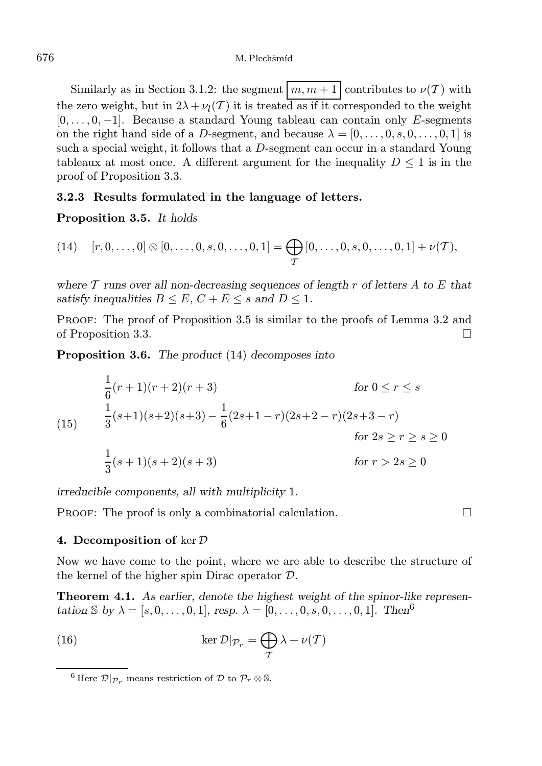Similarly as in Section 3.1.2: the segment  $\left\lfloor m, m+1 \right\rfloor$  contributes to  $\nu(\mathcal{T})$  with the zero weight, but in  $2\lambda + \nu_l(\mathcal{T})$  it is treated as if it corresponded to the weight  $[0, \ldots, 0, -1]$ . Because a standard Young tableau can contain only E-segments on the right hand side of a D-segment, and because  $\lambda = [0, \ldots, 0, s, 0, \ldots, 0, 1]$  is such a special weight, it follows that a D-segment can occur in a standard Young tableaux at most once. A different argument for the inequality  $D \leq 1$  is in the proof of Proposition 3.3.

### 3.2.3 Results formulated in the language of letters.

Proposition 3.5. It holds

(14) 
$$
[r, 0, \ldots, 0] \otimes [0, \ldots, 0, s, 0, \ldots, 0, 1] = \bigoplus_{\mathcal{T}} [0, \ldots, 0, s, 0, \ldots, 0, 1] + \nu(\mathcal{T}),
$$

where  $\mathcal T$  runs over all non-decreasing sequences of length r of letters  $A$  to  $E$  that satisfy inequalities  $B \leq E$ ,  $C + E \leq s$  and  $D \leq 1$ .

PROOF: The proof of Proposition 3.5 is similar to the proofs of Lemma 3.2 and of Proposition 3.3.

Proposition 3.6. The product (14) decomposes into

$$
\frac{1}{6}(r+1)(r+2)(r+3)
$$
 for  $0 \le r \le s$   
\n(15) 
$$
\frac{1}{3}(s+1)(s+2)(s+3) - \frac{1}{6}(2s+1-r)(2s+2-r)(2s+3-r)
$$
  
\nfor  $2s \ge r \ge s \ge 0$   
\n
$$
\frac{1}{3}(s+1)(s+2)(s+3)
$$
 for  $r > 2s \ge 0$ 

irreducible components, all with multiplicity 1.

**PROOF:** The proof is only a combinatorial calculation.  $\Box$ 

#### 4. Decomposition of  $\ker \mathcal{D}$

Now we have come to the point, where we are able to describe the structure of the kernel of the higher spin Dirac operator D.

Theorem 4.1. As earlier, denote the highest weight of the spinor-like representation S by  $\lambda = [s, 0, \ldots, 0, 1],$  resp.  $\lambda = [0, \ldots, 0, s, 0, \ldots, 0, 1].$  Then<sup>6</sup>

(16) 
$$
\ker \mathcal{D}|_{\mathcal{P}_r} = \bigoplus_{\mathcal{T}} \lambda + \nu(\mathcal{T})
$$

<sup>&</sup>lt;sup>6</sup> Here  $\mathcal{D}|_{\mathcal{P}_r}$  means restriction of  $\mathcal{D}$  to  $\mathcal{P}_r \otimes \mathbb{S}$ .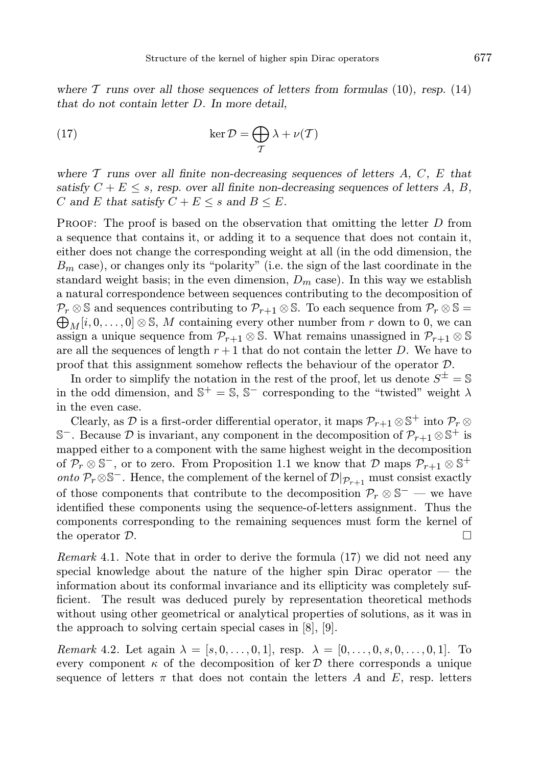where  $\mathcal T$  runs over all those sequences of letters from formulas (10), resp. (14) that do not contain letter D. In more detail,

(17) 
$$
\ker \mathcal{D} = \bigoplus_{\mathcal{T}} \lambda + \nu(\mathcal{T})
$$

where  $\mathcal T$  runs over all finite non-decreasing sequences of letters  $A, C, E$  that satisfy  $C + E \leq s$ , resp. over all finite non-decreasing sequences of letters A, B, C and E that satisfy  $C + E \leq s$  and  $B \leq E$ .

**PROOF:** The proof is based on the observation that omitting the letter  $D$  from a sequence that contains it, or adding it to a sequence that does not contain it, either does not change the corresponding weight at all (in the odd dimension, the  $B<sub>m</sub>$  case), or changes only its "polarity" (i.e. the sign of the last coordinate in the standard weight basis; in the even dimension,  $D_m$  case). In this way we establish a natural correspondence between sequences contributing to the decomposition of  $\bigoplus_M[i, 0, \ldots, 0] \otimes \mathbb{S}, M$  containing every other number from r down to 0, we can  $\mathcal{P}_r \otimes \mathbb{S}$  and sequences contributing to  $\mathcal{P}_{r+1} \otimes \mathbb{S}$ . To each sequence from  $\mathcal{P}_r \otimes \mathbb{S} =$ assign a unique sequence from  $\mathcal{P}_{r+1} \otimes \mathbb{S}$ . What remains unassigned in  $\mathcal{P}_{r+1} \otimes \mathbb{S}$ are all the sequences of length  $r + 1$  that do not contain the letter D. We have to proof that this assignment somehow reflects the behaviour of the operator D.

In order to simplify the notation in the rest of the proof, let us denote  $S^{\pm} = \mathbb{S}$ in the odd dimension, and  $\mathbb{S}^+ = \mathbb{S}, \mathbb{S}^-$  corresponding to the "twisted" weight  $\lambda$ in the even case.

Clearly, as  $\mathcal D$  is a first-order differential operator, it maps  $\mathcal P_{r+1}\otimes \mathbb S^+$  into  $\mathcal P_r\otimes$  $\mathbb{S}^-$ . Because  $\mathcal D$  is invariant, any component in the decomposition of  $\mathcal P_{r+1}\otimes \mathbb S^+$  is mapped either to a component with the same highest weight in the decomposition of  $\mathcal{P}_r \otimes \mathbb{S}^-$ , or to zero. From Proposition 1.1 we know that  $\mathcal{D}$  maps  $\mathcal{P}_{r+1} \otimes \mathbb{S}^+$ *onto*  $\mathcal{P}_r \otimes \mathbb{S}^-$ . Hence, the complement of the kernel of  $\mathcal{D}|_{\mathcal{P}_{r+1}}$  must consist exactly of those components that contribute to the decomposition  $\mathcal{P}_r \otimes \mathbb{S}^-$  — we have identified these components using the sequence-of-letters assignment. Thus the components corresponding to the remaining sequences must form the kernel of the operator  $\mathcal{D}$ .

Remark 4.1. Note that in order to derive the formula (17) we did not need any special knowledge about the nature of the higher spin Dirac operator — the information about its conformal invariance and its ellipticity was completely sufficient. The result was deduced purely by representation theoretical methods without using other geometrical or analytical properties of solutions, as it was in the approach to solving certain special cases in [8], [9].

*Remark* 4.2. Let again  $\lambda = [s, 0, \ldots, 0, 1]$ , resp.  $\lambda = [0, \ldots, 0, s, 0, \ldots, 0, 1]$ . To every component  $\kappa$  of the decomposition of ker D there corresponds a unique sequence of letters  $\pi$  that does not contain the letters A and E, resp. letters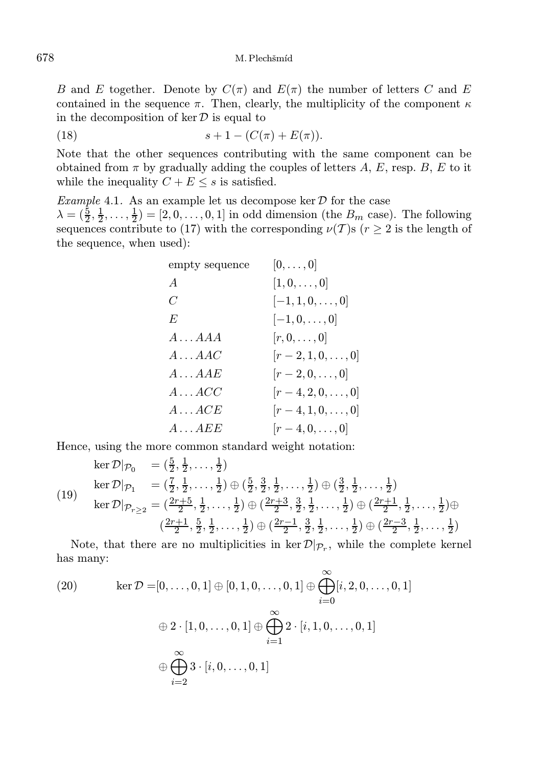B and E together. Denote by  $C(\pi)$  and  $E(\pi)$  the number of letters C and E contained in the sequence  $\pi$ . Then, clearly, the multiplicity of the component  $\kappa$ in the decomposition of  $\ker \mathcal{D}$  is equal to

(18) 
$$
s + 1 - (C(\pi) + E(\pi)).
$$

Note that the other sequences contributing with the same component can be obtained from  $\pi$  by gradually adding the couples of letters A, E, resp. B, E to it while the inequality  $C + E \leq s$  is satisfied.

Example 4.1. As an example let us decompose ker  $D$  for the case  $\lambda = (\frac{5}{2}, \frac{1}{2}, \dots, \frac{1}{2}) = [2, 0, \dots, 0, 1]$  in odd dimension (the  $B_m$  case). The following sequences contribute to (17) with the corresponding  $\nu(T)$ s ( $r \geq 2$  is the length of the sequence, when used):

| $[0,\ldots,0]$           |
|--------------------------|
| $[1,0,\ldots,0]$         |
| $[-1, 1, 0, \ldots, 0]$  |
| $[-1,0,\ldots,0]$        |
| $[r,0,\ldots,0]$         |
| $[r-2,1,0,\ldots,0]$     |
| $[r-2,0,\ldots,0]$       |
| $[r-4, 2, 0, \ldots, 0]$ |
| $[r-4,1,0,\ldots,0]$     |
| $[r-4,0,\ldots,0]$       |
|                          |

Hence, using the more common standard weight notation:

$$
\ker \mathcal{D}|_{\mathcal{P}_0} = (\frac{5}{2}, \frac{1}{2}, \dots, \frac{1}{2})
$$
\n
$$
\ker \mathcal{D}|_{\mathcal{P}_1} = (\frac{7}{2}, \frac{1}{2}, \dots, \frac{1}{2}) \oplus (\frac{5}{2}, \frac{3}{2}, \frac{1}{2}, \dots, \frac{1}{2}) \oplus (\frac{3}{2}, \frac{1}{2}, \dots, \frac{1}{2})
$$
\n
$$
\ker \mathcal{D}|_{\mathcal{P}_{r\geq 2}} = (\frac{2r+5}{2}, \frac{1}{2}, \dots, \frac{1}{2}) \oplus (\frac{2r+3}{2}, \frac{3}{2}, \frac{1}{2}, \dots, \frac{1}{2}) \oplus (\frac{2r+1}{2}, \frac{1}{2}, \dots, \frac{1}{2}) \oplus (\frac{2r-3}{2}, \frac{1}{2}, \dots, \frac{1}{2})
$$
\n
$$
(\frac{2r+1}{2}, \frac{5}{2}, \frac{1}{2}, \dots, \frac{1}{2}) \oplus (\frac{2r-1}{2}, \frac{3}{2}, \frac{1}{2}, \dots, \frac{1}{2}) \oplus (\frac{2r-3}{2}, \frac{1}{2}, \dots, \frac{1}{2})
$$

Note, that there are no multiplicities in  $\ker \mathcal{D}|_{\mathcal{P}_r}$ , while the complete kernel has many:

(20) 
$$
\ker \mathcal{D} = [0, \dots, 0, 1] \oplus [0, 1, 0, \dots, 0, 1] \oplus \bigoplus_{i=0}^{\infty} [i, 2, 0, \dots, 0, 1]
$$

$$
\oplus 2 \cdot [1, 0, \dots, 0, 1] \oplus \bigoplus_{i=1}^{\infty} 2 \cdot [i, 1, 0, \dots, 0, 1]
$$

$$
\oplus \bigoplus_{i=2}^{\infty} 3 \cdot [i, 0, \dots, 0, 1]
$$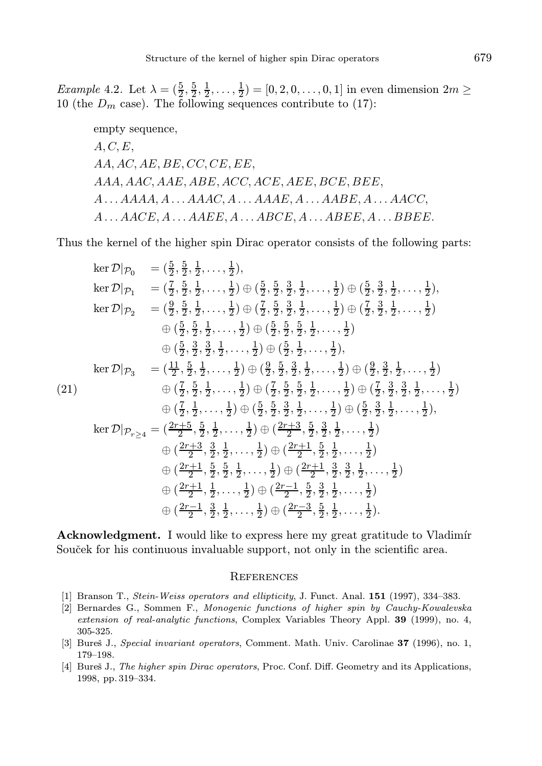*Example* 4.2. Let  $\lambda = (\frac{5}{2}, \frac{5}{2}, \frac{1}{2}, \dots, \frac{1}{2}) = [0, 2, 0, \dots, 0, 1]$  in even dimension  $2m \ge$ 10 (the  $D_m$  case). The following sequences contribute to (17):

empty sequence,  $A, C, E$  $AA, AC, AE, BE, CC, CE, EE,$ AAA, AAC, AAE, ABE, ACC, ACE, AEE, BCE, BEE,  $A \ldots A A A A, A \ldots A A A C, A \ldots A A A E, A \ldots A A B E, A \ldots A A C C,$  $A \ldots AACE, A \ldots AAEE, A \ldots ABCE, A \ldots ABEE, A \ldots BBEE.$ 

Thus the kernel of the higher spin Dirac operator consists of the following parts:

ker 
$$
\mathcal{D}|_{\mathcal{P}_0} = (\frac{5}{2}, \frac{5}{2}, \frac{1}{2}, \ldots, \frac{1}{2}),
$$
  
\nker  $\mathcal{D}|_{\mathcal{P}_1} = (\frac{7}{2}, \frac{5}{2}, \frac{1}{2}, \ldots, \frac{1}{2}) \oplus (\frac{5}{2}, \frac{5}{2}, \frac{3}{2}, \frac{1}{2}, \ldots, \frac{1}{2}) \oplus (\frac{5}{2}, \frac{3}{2}, \frac{1}{2}, \ldots, \frac{1}{2}),$   
\nker  $\mathcal{D}|_{\mathcal{P}_2} = (\frac{9}{2}, \frac{5}{2}, \frac{1}{2}, \ldots, \frac{1}{2}) \oplus (\frac{7}{2}, \frac{5}{2}, \frac{3}{2}, \frac{1}{2}, \ldots, \frac{1}{2}) \oplus (\frac{7}{2}, \frac{3}{2}, \frac{1}{2}, \ldots, \frac{1}{2})$   
\n $\oplus (\frac{5}{2}, \frac{5}{2}, \frac{1}{2}, \ldots, \frac{1}{2}) \oplus (\frac{5}{2}, \frac{5}{2}, \frac{5}{2}, \frac{1}{2}, \ldots, \frac{1}{2})$   
\n $\oplus (\frac{5}{2}, \frac{3}{2}, \frac{3}{2}, \frac{1}{2}, \ldots, \frac{1}{2}) \oplus (\frac{9}{2}, \frac{5}{2}, \frac{3}{2}, \frac{1}{2}, \ldots, \frac{1}{2}) \oplus (\frac{9}{2}, \frac{3}{2}, \frac{3}{2}, \ldots, \frac{1}{2})$   
\nker  $\mathcal{D}|_{\mathcal{P}_3} = (\frac{11}{2}, \frac{5}{2}, \frac{1}{2}, \ldots, \frac{1}{2}) \oplus (\frac{9}{2}, \frac{5}{2}, \frac{3}{2}, \frac{1}{2}, \ldots, \frac{1}{2}) \oplus (\frac{7}{2}, \frac{3}{2}, \frac{3}{2}, \frac{3}{2}, \ldots, \frac{1}{2})$   
\n $\oplus (\frac{7}{2}, \frac{1}{2}, \ldots, \frac{1}{2}) \oplus (\frac{5}{2}, \frac{5}{2}, \frac{3}{2}, \frac{1}{2}, \ldots, \frac{1}{2}) \oplus (\frac{5}{2}, \frac{3$ 

Acknowledgment. I would like to express here my great gratitude to Vladimír Souček for his continuous invaluable support, not only in the scientific area.

#### **REFERENCES**

- [1] Branson T., Stein-Weiss operators and ellipticity, J. Funct. Anal. 151 (1997), 334-383.
- [2] Bernardes G., Sommen F., Monogenic functions of higher spin by Cauchy-Kowalevska extension of real-analytic functions, Complex Variables Theory Appl. 39 (1999), no. 4, 305-325.
- [3] Bureš J., Special invariant operators, Comment. Math. Univ. Carolinae 37 (1996), no. 1, 179–198.
- [4] Bures J., The higher spin Dirac operators, Proc. Conf. Diff. Geometry and its Applications, 1998, pp. 319–334.